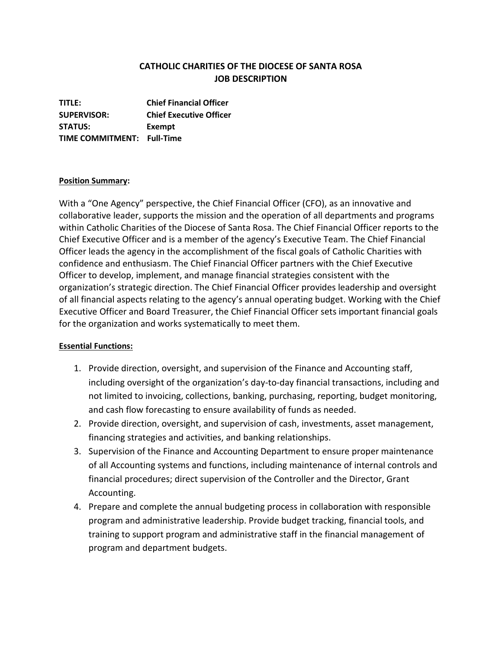## **CATHOLIC CHARITIES OF THE DIOCESE OF SANTA ROSA JOB DESCRIPTION**

**TITLE: Chief Financial Officer SUPERVISOR: Chief Executive Officer STATUS: Exempt TIME COMMITMENT: Full-Time**

## **Position Summary:**

With a "One Agency" perspective, the Chief Financial Officer (CFO), as an innovative and collaborative leader, supports the mission and the operation of all departments and programs within Catholic Charities of the Diocese of Santa Rosa. The Chief Financial Officer reports to the Chief Executive Officer and is a member of the agency's Executive Team. The Chief Financial Officer leads the agency in the accomplishment of the fiscal goals of Catholic Charities with confidence and enthusiasm. The Chief Financial Officer partners with the Chief Executive Officer to develop, implement, and manage financial strategies consistent with the organization's strategic direction. The Chief Financial Officer provides leadership and oversight of all financial aspects relating to the agency's annual operating budget. Working with the Chief Executive Officer and Board Treasurer, the Chief Financial Officer sets important financial goals for the organization and works systematically to meet them.

## **Essential Functions:**

- 1. Provide direction, oversight, and supervision of the Finance and Accounting staff, including oversight of the organization's day-to-day financial transactions, including and not limited to invoicing, collections, banking, purchasing, reporting, budget monitoring, and cash flow forecasting to ensure availability of funds as needed.
- 2. Provide direction, oversight, and supervision of cash, investments, asset management, financing strategies and activities, and banking relationships.
- 3. Supervision of the Finance and Accounting Department to ensure proper maintenance of all Accounting systems and functions, including maintenance of internal controls and financial procedures; direct supervision of the Controller and the Director, Grant Accounting.
- 4. Prepare and complete the annual budgeting process in collaboration with responsible program and administrative leadership. Provide budget tracking, financial tools, and training to support program and administrative staff in the financial management of program and department budgets.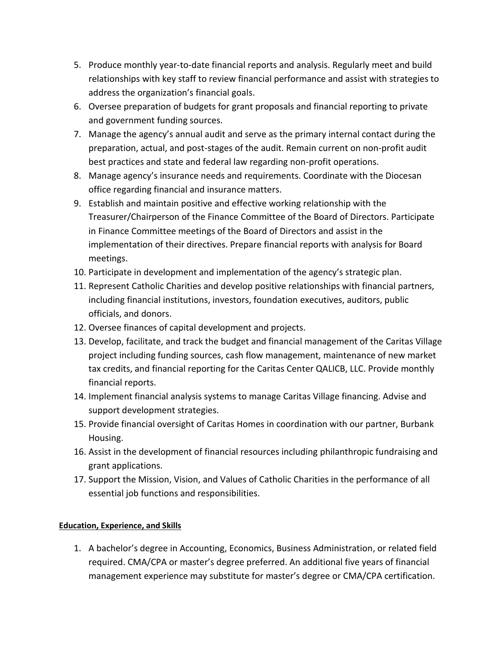- 5. Produce monthly year-to-date financial reports and analysis. Regularly meet and build relationships with key staff to review financial performance and assist with strategies to address the organization's financial goals.
- 6. Oversee preparation of budgets for grant proposals and financial reporting to private and government funding sources.
- 7. Manage the agency's annual audit and serve as the primary internal contact during the preparation, actual, and post-stages of the audit. Remain current on non-profit audit best practices and state and federal law regarding non-profit operations.
- 8. Manage agency's insurance needs and requirements. Coordinate with the Diocesan office regarding financial and insurance matters.
- 9. Establish and maintain positive and effective working relationship with the Treasurer/Chairperson of the Finance Committee of the Board of Directors. Participate in Finance Committee meetings of the Board of Directors and assist in the implementation of their directives. Prepare financial reports with analysis for Board meetings.
- 10. Participate in development and implementation of the agency's strategic plan.
- 11. Represent Catholic Charities and develop positive relationships with financial partners, including financial institutions, investors, foundation executives, auditors, public officials, and donors.
- 12. Oversee finances of capital development and projects.
- 13. Develop, facilitate, and track the budget and financial management of the Caritas Village project including funding sources, cash flow management, maintenance of new market tax credits, and financial reporting for the Caritas Center QALICB, LLC. Provide monthly financial reports.
- 14. Implement financial analysis systems to manage Caritas Village financing. Advise and support development strategies.
- 15. Provide financial oversight of Caritas Homes in coordination with our partner, Burbank Housing.
- 16. Assist in the development of financial resources including philanthropic fundraising and grant applications.
- 17. Support the Mission, Vision, and Values of Catholic Charities in the performance of all essential job functions and responsibilities.

## **Education, Experience, and Skills**

1. A bachelor's degree in Accounting, Economics, Business Administration, or related field required. CMA/CPA or master's degree preferred. An additional five years of financial management experience may substitute for master's degree or CMA/CPA certification.